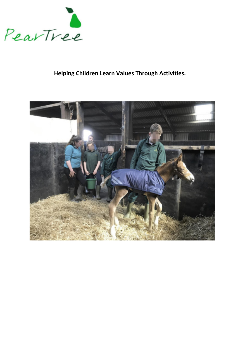

# **Helping Children Learn Values Through Activities.**

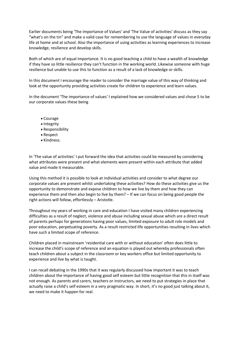Earlier documents being 'The importance of Values' and 'The Value of activities' discuss as they say "what's on the tin" and make a valid case for remembering to use the language of values in everyday life at home and at school. Also the importance of using activities as learning experiences to increase knowledge, resilience and develop skills.

Both of which are of equal importance. It is no good teaching a child to have a wealth of knowledge if they have so little resilience they can't function in the working world. Likewise someone with huge resilience but unable to use this to function as a result of a lack of knowledge or skills.

In this document I encourage the reader to consider the marriage value of this way of thinking and look at the opportunity providing activities create for children to experience and learn values.

In the document 'The importance of values' I explained how we considered values and chose 5 to be our corporate values these being

- Courage
- Integrity
- Responsibility
- Respect
- Kindness.

In 'The value of activities' I put forward the idea that activities could be measured by considering what attributes were present and what elements were present within each attribute that added value and made it measurable.

Using this method it is possible to look at individual activities and consider to what degree our corporate values are present whilst undertaking these activities? How do these activities give us the opportunity to demonstrate and expose children to how we live by them and how they can experience them and then also begin to live by them? – If we can focus on being good people the right actions will follow, effortlessly – Aristotle.

Throughout my years of working in care and education I have visited many children experiencing difficulties as a result of neglect, violence and abuse including sexual abuse which are a direct result of parents perhaps for generations having poor values, limited exposure to adult role models and poor education, perpetuating poverty. As a result restricted life opportunities resulting in lives which have such a limited scope of reference.

Children placed in mainstream 'residential care with or without education' often does little to increase the child's scope of reference and an equation is played out whereby professionals often teach children about a subject in the classroom or key workers office but limited opportunity to experience and live by what is taught.

I can recall debating in the 1990s that it was regularly discussed how important it was to teach children about the importance of having good self esteem but little recognition that this in itself was not enough. As parents and carers, teachers or instructors, we need to put strategies in place that actually raise a child's self esteem in a very pragmatic way. In short, it's no good just talking about it, we need to make it happen for real.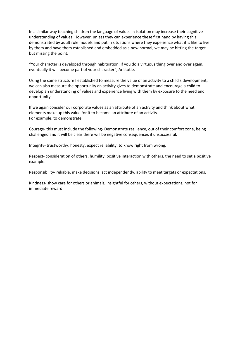In a similar way teaching children the language of values in isolation may increase their cognitive understanding of values. However, unless they can experience these first hand by having this demonstrated by adult role models and put in situations where they experience what it is like to live by them and have them established and embedded as a new normal, we may be hitting the target but missing the point.

"Your character is developed through habituation. If you do a virtuous thing over and over again, eventually it will become part of your character", Aristotle.

Using the same structure I established to measure the value of an activity to a child's development, we can also measure the opportunity an activity gives to demonstrate and encourage a child to develop an understanding of values and experience living with them by exposure to the need and opportunity.

If we again consider our corporate values as an attribute of an activity and think about what elements make up this value for it to become an attribute of an activity. For example, to demonstrate

Courage- this must include the following- Demonstrate resilience, out of their comfort zone, being challenged and it will be clear there will be negative consequences if unsuccessful.

Integrity- trustworthy, honesty, expect reliability, to know right from wrong.

Respect- consideration of others, humility, positive interaction with others, the need to set a positive example.

Responsibility- reliable, make decisions, act independently, ability to meet targets or expectations.

Kindness- show care for others or animals, insightful for others, without expectations, not for immediate reward.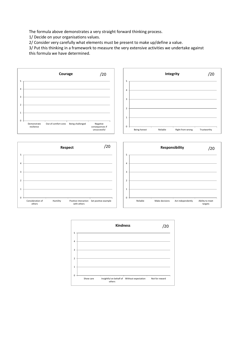The formula above demonstrates a very straight forward thinking process.

1/ Decide on your organisations values.

2/ Consider very carefully what elements must be present to make up/define a value.

3/ Put this thinking in a framework to measure the very extensive activities we undertake against this formula we have determined.



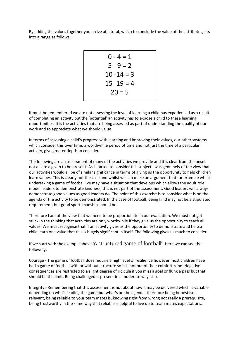By adding the values together you arrive at a total, which to conclude the value of the attributes, fits into a range as follows.

$$
0-4=1
$$
  
\n
$$
5-9=2
$$
  
\n
$$
10-14=3
$$
  
\n
$$
15-19=4
$$
  
\n
$$
20=5
$$

It must be remembered we are not assessing the level of learning a child has experienced as a result of completing an activity but the 'potential' an activity has to expose a child to these learning opportunities. It is the activities that are being assessed as part of understanding the quality of our work and to appreciate what we should value.

In terms of assessing a child's progress with learning and improving their values, our other systems which consider this over time, a worthwhile period of time and not just the time of a particular activity, give greater depth to consider.

The following are an assessment of many of the activities we provide and it is clear from the onset not all are a given to be present. As I started to consider this subject I was genuinely of the view that our activities would all be of similar significance in terms of giving us the opportunity to help children learn values. This is clearly not the case and whilst we can make an argument that for example whilst undertaking a game of football we may have a situation that develops which allows the adult role model leaders to demonstrate kindness, this is not part of the assessment. Good leaders will always demonstrate good values as good leaders do. The point of this exercise is to consider what is on the agenda of the activity to be demonstrated. In the case of football, being kind may not be a stipulated requirement, but good sportsmanship should be.

Therefore I am of the view that we need to be proportionate in our evaluation. We must not get stuck in the thinking that activities are only worthwhile if they give us the opportunity to teach all values. We must recognise that if an activity gives us the opportunity to demonstrate and help a child learn one value that this is hugely significant in itself. The following gives us much to consider.

If we start with the example above 'A structured game of football'. Here we can see the following.

Courage - The game of football does require a high level of resilience however most children have had a game of football with or without structure so it is not out of their comfort zone. Negative consequences are restricted to a slight degree of ridicule if you miss a goal or flunk a pass but that should be the limit. Being challenged is present in a moderate way also.

Integrity - Remembering that this assessment is not about how it may be delivered which is variable depending on who's leading the game but what's on the agenda, therefore being honest isn't relevant, being reliable to your team mates is, knowing right from wrong not really a prerequisite, being trustworthy in the same way that reliable is helpful to live up to team mates expectations.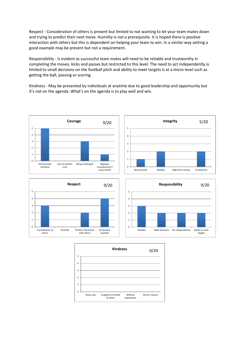Respect - Consideration of others is present but limited to not wanting to let your team mates down and trying to predict their next move. Humility is not a prerequisite. It is hoped there is positive interaction with others but this is dependent on helping your team to win. In a similar way setting a good example may be present but not a requirement.

Responsibility - Is evident as successful team mates will need to be reliable and trustworthy in completing the moves, kicks and passes but restricted to this level. The need to act independently is limited to small decisions on the football pitch and ability to meet targets is at a micro level such as getting the ball, passing or scoring.

Kindness - May be presented by individuals at anytime due to good leadership and opportunity but it's not on the agenda. What's on the agenda is to play well and win.



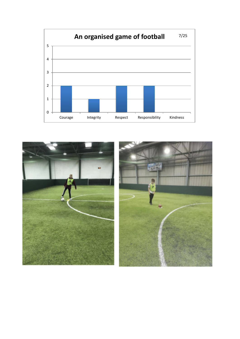

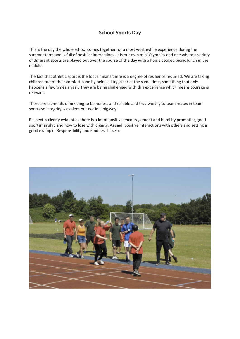## **School Sports Day**

This is the day the whole school comes together for a most worthwhile experience during the summer term and is full of positive interactions. It is our own mini Olympics and one where a variety of different sports are played out over the course of the day with a home cooked picnic lunch in the middle.

The fact that athletic sport is the focus means there is a degree of resilience required. We are taking children out of their comfort zone by being all together at the same time, something that only happens a few times a year. They are being challenged with this experience which means courage is relevant.

There are elements of needing to be honest and reliable and trustworthy to team mates in team sports so integrity is evident but not in a big way.

Respect is clearly evident as there is a lot of positive encouragement and humility promoting good sportsmanship and how to lose with dignity. As said, positive interactions with others and setting a good example. Responsibility and Kindness less so.

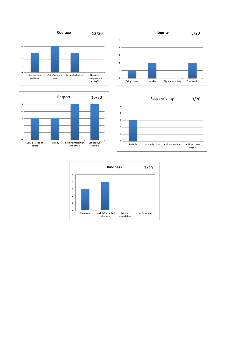







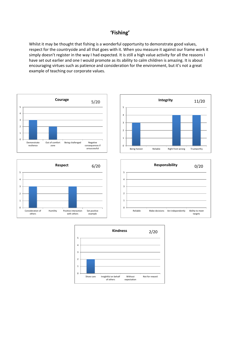## **'Fishing'**

Whilst it may be thought that fishing is a wonderful opportunity to demonstrate good values, respect for the countryside and all that goes with it. When you measure it against our frame work it simply doesn't register in the way I had expected. It is still a high value activity for all the reasons I have set out earlier and one I would promote as its ability to calm children is amazing. It is about encouraging virtues such as patience and consideration for the environment, but it's not a great example of teaching our corporate values.



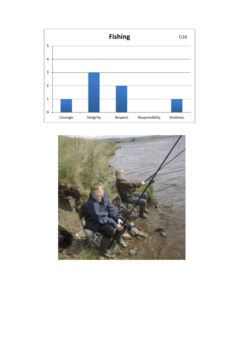

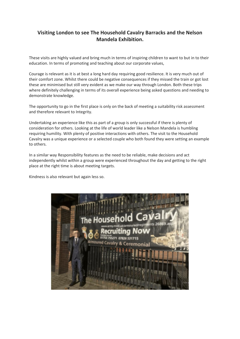# **Visiting London to see The Household Cavalry Barracks and the Nelson Mandela Exhibition.**

These visits are highly valued and bring much in terms of inspiring children to want to but in to their education. In terms of promoting and teaching about our corporate values,

Courage is relevant as it is at best a long hard day requiring good resilience. It is very much out of their comfort zone. Whilst there could be negative consequences if they missed the train or got lost these are minimised but still very evident as we make our way through London. Both these trips where definitely challenging in terms of its overall experience being asked questions and needing to demonstrate knowledge.

The opportunity to go in the first place is only on the back of meeting a suitability risk assessment and therefore relevant to Integrity.

Undertaking an experience like this as part of a group is only successful if there is plenty of consideration for others. Looking at the life of world leader like a Nelson Mandela is humbling requiring humility. With plenty of positive interactions with others. The visit to the Household Cavalry was a unique experience or a selected couple who both found they were setting an example to others.

In a similar way Responsibility features as the need to be reliable, make decisions and act independently whilst within a group were experienced throughout the day and getting to the right place at the right time is about meeting targets.

Kindness is also relevant but again less so.

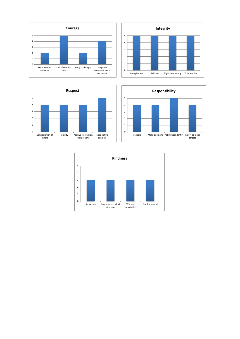







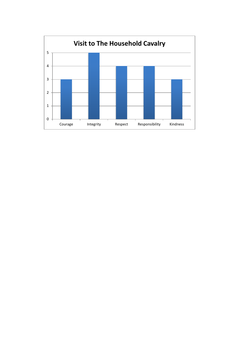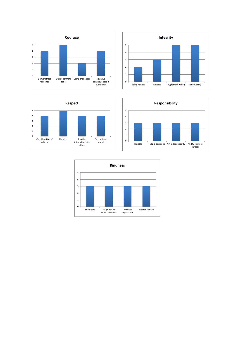







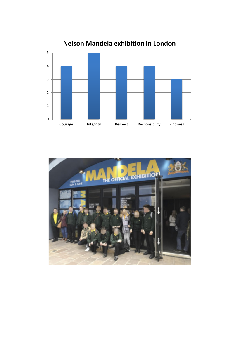

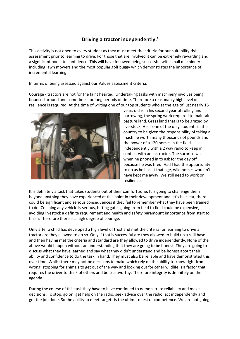## **Driving a tractor independently.'**

This activity is not open to every student as they must meet the criteria for our suitability risk assessment prior to learning to drive. For those that are involved it can be extremely rewarding and a significant boost to confidence. This will have followed being successful with small machinery including lawn mowers and the most popular golf buggy which demonstrates the importance of incremental learning.

In terms of being assessed against our Values assessment criteria.

Courage - tractors are not for the faint hearted. Undertaking tasks with machinery involves being bounced around and sometimes for long periods of time. Therefore a reasonably high level of resilience is required. At the time of writing one of our top students who at the age of just nearly 16



years old is in his second year of rolling and harrowing, the spring work required to maintain pasture land. Grass land that is to be grazed by live-stock. He is one of the only students in the country to be given the responsibility of taking a machine worth many thousands of pounds and the power of a 120 horses in the field independently with a 2 way radio to keep in contact with an instructor. The surprise was when he phoned in to ask for the day off because he was tired. Had I had the opportunity to do as he has at that age, wild horses wouldn't have kept me away. We still need to work on resilience.

It is definitely a task that takes students out of their comfort zone. It is going to challenge them beyond anything they have experienced at this point in their development and let's be clear, there could be significant and serious consequences if they fail to remember what they have been trained to do. Crashing any vehicle is serious, hitting gates going from field to field could be expensive, avoiding livestock a definite requirement and health and safety paramount importance from start to finish. Therefore there is a high degree of courage.

Only after a child has developed a high level of trust and met the criteria for learning to drive a tractor are they allowed to do so. Only if that is successful are they allowed to build up a skill base and then having met the criteria and standard are they allowed to drive independently. None of the above would happen without an understanding that they are going to be honest. They are going to discuss what they have learned and say what they didn't understand and be honest about their ability and confidence to do the task in hand. They must also be reliable and have demonstrated this over time. Whilst there may not be decisions to make which rely on the ability to know right from wrong, stopping for animals to get out of the way and looking out for other wildlife is a factor that requires the driver to think of others and be trustworthy. Therefore integrity is definitely on the agenda.

During the course of this task they have to have continued to demonstrate reliability and make decisions. To stop, go on, get help on the radio, seek advice over the radio, act independently and get the job done. So the ability to meet targets is the ultimate test of competence. We are not going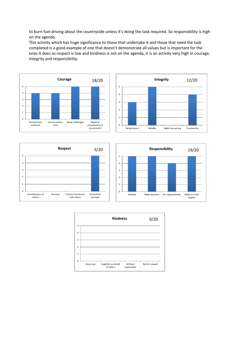to burn fuel driving about the countryside unless it's doing the task required. So responsibility is high on the agenda.

This activity which has huge significance to those that undertake it and those that need the task completed is a good example of one that doesn't demonstrate all values but is important for the ones it does as respect is low and kindness is not on the agenda, it is an activity very high in courage, integrity and responsibility.









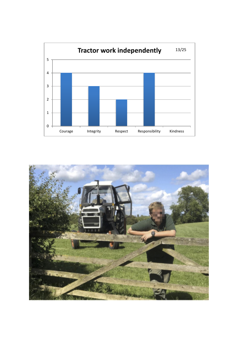

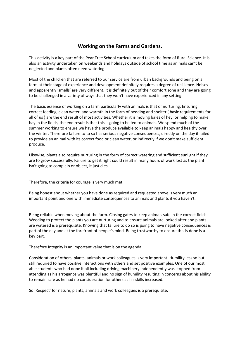## **Working on the Farms and Gardens.**

This activity is a key part of the Pear Tree School curriculum and takes the form of Rural Science. It is also an activity undertaken on weekends and holidays outside of school time as animals can't be neglected and plants often need watering.

Most of the children that are referred to our service are from urban backgrounds and being on a farm at their stage of experience and development definitely requires a degree of resilience. Noises and apparently 'smells' are very different. It is definitely out of their comfort zone and they are going to be challenged in a variety of ways that they won't have experienced in any setting.

The basic essence of working on a farm particularly with animals is that of nurturing. Ensuring correct feeding, clean water, and warmth in the form of bedding and shelter ( basic requirements for all of us ) are the end result of most activities. Whether it is moving bales of hey, or helping to make hay in the fields, the end result is that this is going to be fed to animals. We spend much of the summer working to ensure we have the produce available to keep animals happy and healthy over the winter. Therefore failure to to so has serious negative consequences, directly on the day if failed to provide an animal with its correct food or clean water, or indirectly if we don't make sufficient produce.

Likewise, plants also require nurturing in the form of correct watering and sufficient sunlight if they are to grow successfully. Failure to get it right could result in many hours of work lost as the plant isn't going to complain or object, it just dies.

Therefore, the criteria for courage is very much met.

Being honest about whether you have done as required and requested above is very much an important point and one with immediate consequences to animals and plants if you haven't.

Being reliable when moving about the farm. Closing gates to keep animals safe in the correct fields. Weeding to protect the plants you are nurturing and to ensure animals are looked after and plants are watered is a prerequisite. Knowing that failure to do so is going to have negative consequences is part of the day and at the forefront of people's mind. Being trustworthy to ensure this is done is a key part.

Therefore Integrity is an important value that is on the agenda.

Consideration of others, plants, animals or work colleagues is very important. Humility less so but still required to have positive interactions with others and set positive examples. One of our most able students who had done it all including driving machinery independently was stopped from attending as his arrogance was plentiful and no sign of humility resulting in concerns about his ability to remain safe as he had no consideration for others as his skills increased.

So 'Respect' for nature, plants, animals and work colleagues is a prerequisite.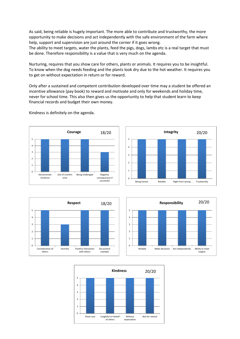As said, being reliable is hugely important. The more able to contribute and trustworthy, the more opportunity to make decisions and act independently with the safe environment of the farm where help, support and supervision are just around the corner if it goes wrong.

The ability to meet targets, water the plants, feed the pigs, dogs, lambs etc is a real target that must be done. Therefore responsibility is a value that is very much on the agenda.

Nurturing, requires that you show care for others, plants or animals. It requires you to be insightful. To know when the dog needs feeding and the plants look dry due to the hot weather. It requires you to get on without expectation in return or for reward.

Only after a sustained and competent contribution developed over time may a student be offered an incentive allowance (pay book) to reward and motivate and only for weekends and holiday time, never for school time. This also then gives us the opportunity to help that student learn to keep financial records and budget their own money.



Kindness is definitely on the agenda.







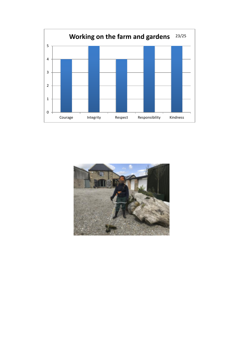

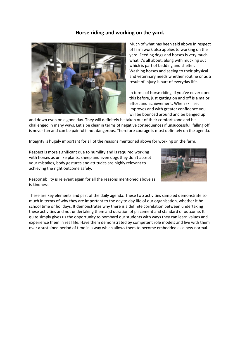## **Horse riding and working on the yard.**



Much of what has been said above in respect of farm work also applies to working on the yard. Feeding dogs and horses is very much what it's all about, along with mucking out which is part of bedding and shelter. Washing horses and seeing to their physical and veterinary needs whether routine or as a result of injury is part of everyday life.

In terms of horse riding, if you've never done this before, just getting on and off is a major effort and achievement. When skill set improves and with greater confidence you will be bounced around and be banged up

and down even on a good day. They will definitely be taken out of their comfort zone and be challenged in many ways. Let's be clear in terms of negative consequences if unsuccessful, falling off is never fun and can be painful if not dangerous. Therefore courage is most definitely on the agenda.

Integrity is hugely important for all of the reasons mentioned above for working on the farm.

Respect is more significant due to humility and is required working with horses as unlike plants, sheep and even dogs they don't accept your mistakes, body gestures and attitudes are highly relevant to achieving the right outcome safely.



Responsibility is relevant again for all the reasons mentioned above as is kindness.

These are key elements and part of the daily agenda. These two activities sampled demonstrate so much in terms of why they are important to the day to day life of our organisation, whether it be school time or holidays. It demonstrates why there is a definite correlation between undertaking these activities and not undertaking them and duration of placement and standard of outcome. It quite simply gives us the opportunity to bombard our students with ways they can learn values and experience them in real life. Have them demonstrated by competent role models and live with them over a sustained period of time in a way which allows them to become embedded as a new normal.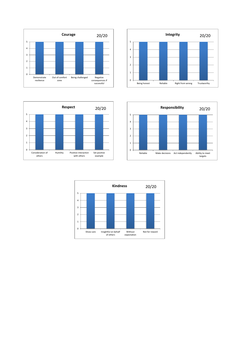



Out of comfort zone

Being challenged

**Courage** 20/20

consequences if successful

Demonstrate resilience



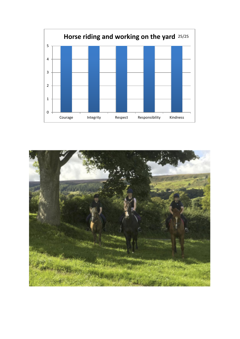

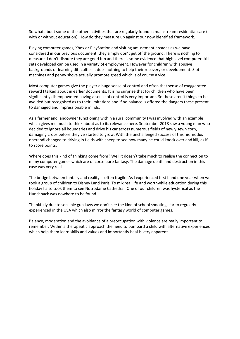So what about some of the other activities that are regularly found in mainstream residential care ( with or without education). How do they measure up against our now identified framework.

Playing computer games, Xbox or PlayStation and visiting amusement arcades as we have considered in our previous document, they simply don't get off the ground. There is nothing to measure. I don't dispute they are good fun and there is some evidence that high level computer skill sets developed can be used in a variety of employment. However for children with abusive backgrounds or learning difficulties it does nothing to help their recovery or development. Slot machines and penny shove actually promote greed which is of course a vice.

Most computer games give the player a huge sense of control and often that sense of exaggerated reward I talked about in earlier documents. It is no surprise that for children who have been significantly disempowered having a sense of control is very important. So these aren't things to be avoided but recognised as to their limitations and if no balance is offered the dangers these present to damaged and impressionable minds.

As a farmer and landowner functioning within a rural community I was involved with an example which gives me much to think about as to its relevance here. September 2018 saw a young man who decided to ignore all boundaries and drive his car across numerous fields of newly sewn corn, damaging crops before they've started to grow. With the unchallenged success of this his modus operandi changed to driving in fields with sheep to see how many he could knock over and kill, as if to score points.

Where does this kind of thinking come from? Well it doesn't take much to realise the connection to many computer games which are of corse pure fantasy. The damage death and destruction in this case was very real.

The bridge between fantasy and reality is often fragile. As I experienced first hand one year when we took a group of children to Disney Land Paris. To mix real life and worthwhile education during this holiday I also took them to see Notrodame Cathedral. One of our children was hysterical as the Hunchback was nowhere to be found.

Thankfully due to sensible gun laws we don't see the kind of school shootings far to regularly experienced in the USA which also mirror the fantasy world of computer games.

Balance, moderation and the avoidance of a preoccupation with violence are really important to remember. Within a therapeutic approach the need to bombard a child with alternative experiences which help them learn skills and values and importantly heal is very apparent.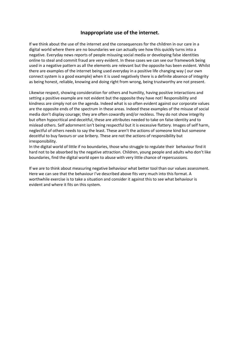#### **Inappropriate use of the internet.**

If we think about the use of the internet and the consequences for the children in our care in a digital world where there are no boundaries we can actually see how this quickly turns into a negative. Everyday news reports of people misusing social media or developing false identities online to steal and commit fraud are very evident. In these cases we can see our framework being used in a negative pattern as all the elements are relevant but the opposite has been evident. Whilst there are examples of the internet being used everyday in a positive life changing way ( our own connect system is a good example) when it is used negatively there is a definite absence of integrity as being honest, reliable, knowing and doing right from wrong, being trustworthy are not present.

Likewise respect, showing consideration for others and humility, having positive interactions and setting a positive example are not evident but the opposite they have not! Responsibility and kindness are simply not on the agenda. Indeed what is so often evident against our corporate values are the opposite ends of the spectrum in these areas. Indeed these examples of the misuse of social media don't display courage; they are often cowardly and/or reckless. They do not show integrity but often hypocritical and deceitful, these are attributes needed to take on false identity and to mislead others. Self adornment isn't being respectful but it is excessive flattery. Images of self harm, neglectful of others needs to say the least. These aren't the actions of someone kind but someone deceitful to buy favours or use bribery. These are not the actions of responsibility but irresponsibility.

In the digital world of little if no boundaries, those who struggle to regulate their behaviour find it hard not to be absorbed by the negative attraction. Children, young people and adults who don't like boundaries, find the digital world open to abuse with very little chance of repercussions.

If we are to think about measuring negative behaviour what better tool than our values assessment. Here we can see that the behaviour I've described above fits very much into this format. A worthwhile exercise is to take a situation and consider it against this to see what behaviour is evident and where it fits on this system.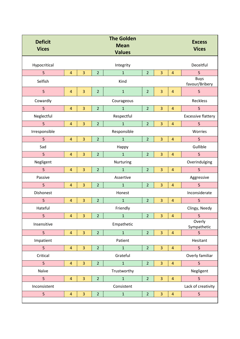| <b>Deficit</b><br><b>Vices</b> |                |                         |                | <b>The Golden</b><br><b>Mean</b><br><b>Values</b> |                |                |                | <b>Excess</b><br><b>Vices</b> |
|--------------------------------|----------------|-------------------------|----------------|---------------------------------------------------|----------------|----------------|----------------|-------------------------------|
| Hypocritical                   |                |                         |                | Integrity                                         |                |                |                | Deceitful                     |
| 5                              | $\overline{4}$ | $\overline{3}$          | $\overline{2}$ | $\mathbf{1}$                                      | $\overline{2}$ | 3              | $\overline{4}$ | 5                             |
| Selfish                        |                |                         |                | Kind                                              |                |                |                | <b>Buys</b><br>favour/Bribery |
| 5                              | $\overline{4}$ | 3                       | $\overline{2}$ | $\mathbf{1}$                                      | $\overline{2}$ | 3              | $\overline{4}$ | 5                             |
| Cowardly                       |                |                         |                | Courageous                                        |                |                |                | <b>Reckless</b>               |
| 5                              | $\overline{4}$ | 3                       | $\overline{2}$ | $\overline{1}$                                    | $\overline{2}$ | 3              | $\overline{4}$ | 5                             |
| Neglectful                     |                |                         |                | Respectful                                        |                |                |                | <b>Excessive flattery</b>     |
| 5                              | $\overline{4}$ | 3                       | $\overline{2}$ | $\mathbf{1}$                                      | $\overline{2}$ | 3              | $\overline{4}$ | 5                             |
| Irresponsible                  |                |                         |                | Responsible                                       |                |                |                | Worries                       |
| 5                              | $\overline{4}$ | $\overline{3}$          | $\overline{2}$ | $\mathbf{1}$                                      | $\overline{2}$ | $\overline{3}$ | $\overline{4}$ | 5                             |
| Sad                            |                |                         |                | Happy                                             |                |                |                | Gullible                      |
| 5                              | $\overline{4}$ | 3                       | $\overline{2}$ | $\mathbf{1}$                                      | $\overline{2}$ | 3              | $\overline{4}$ | 5                             |
| Negligent                      |                |                         |                | Nurturing                                         |                |                |                | Overindulging                 |
| 5                              | $\overline{4}$ | 3                       | $\overline{2}$ | $\mathbf{1}$                                      | $\overline{2}$ | 3              | $\overline{4}$ | 5                             |
| Passive                        |                |                         |                | Assertive                                         |                |                |                | Aggressive                    |
| 5                              | $\overline{4}$ | $\overline{3}$          | $\overline{2}$ | $\overline{1}$                                    | $\overline{2}$ | 3              | $\overline{4}$ | 5                             |
| Dishonest                      |                |                         |                | Honest                                            |                |                |                | Inconsiderate                 |
| 5                              | $\overline{4}$ | 3                       | $\overline{2}$ | $\mathbf{1}$                                      | $\overline{2}$ | 3              | $\overline{4}$ | 5                             |
| Hateful                        |                |                         |                | Friendly                                          |                |                |                | Clingy, Needy                 |
| 5                              | 4              | 3                       | $\overline{a}$ | $\mathbf{1}$                                      | $\overline{2}$ | 3              | $\overline{a}$ | 5                             |
| Insensitive                    |                |                         |                | Empathetic                                        |                |                |                | Overly<br>Sympathetic         |
| 5                              | $\overline{4}$ | $\overline{3}$          | $\overline{2}$ | $\mathbf{1}$                                      | $\overline{2}$ | $\overline{3}$ | $\overline{4}$ | 5                             |
| Impatient                      |                |                         |                | Patient                                           |                |                |                | Hesitant                      |
| 5                              | $\overline{4}$ | $\overline{3}$          | $\overline{2}$ | $\mathbf{1}$                                      | $\overline{2}$ | $\overline{3}$ | $\overline{4}$ | 5                             |
| Critical                       |                |                         |                | Grateful                                          |                |                |                | Overly familiar               |
| 5                              | $\overline{4}$ | $\overline{\mathbf{3}}$ | $\overline{2}$ | $\mathbf 1$                                       | $\overline{2}$ | 3              | $\overline{a}$ | 5                             |
| Naïve                          |                |                         |                | Trustworthy                                       |                |                |                | Negligent                     |
| 5                              | $\overline{4}$ | $\overline{3}$          | $\overline{2}$ | $\mathbf 1$                                       | $\overline{2}$ | 3              | $\overline{4}$ | 5                             |
| Inconsistent                   |                |                         |                | Consistent                                        |                |                |                | Lack of creativity            |
| 5                              | $\overline{4}$ | $\overline{3}$          | $\overline{2}$ | $\mathbf{1}$                                      | $\overline{2}$ | 3              | $\overline{4}$ | 5                             |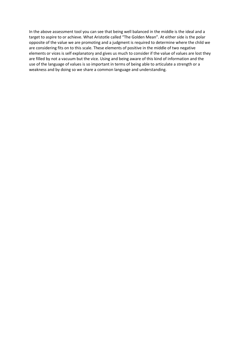In the above assessment tool you can see that being well balanced in the middle is the ideal and a target to aspire to or achieve. What Aristotle called "The Golden Mean". At either side is the polar opposite of the value we are promoting and a judgment is required to determine where the child we are considering fits on to this scale. These elements of positive in the middle of two negative elements or vices is self explanatory and gives us much to consider if the value of values are lost they are filled by not a vacuum but the vice. Using and being aware of this kind of information and the use of the language of values is so important in terms of being able to articulate a strength or a weakness and by doing so we share a common language and understanding.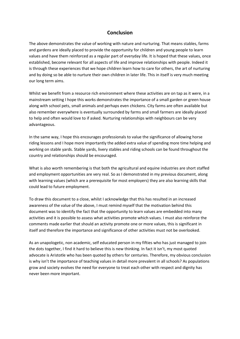#### **Conclusion**

The above demonstrates the value of working with nature and nurturing. That means stables, farms and gardens are ideally placed to provide the opportunity for children and young people to learn values and have them reinforced as a regular part of everyday life. It is hoped that these values, once established, become relevant for all aspects of life and improve relationships with people. Indeed it is through these experiences that we hope children learn how to care for others, the art of nurturing and by doing so be able to nurture their own children in later life. This in itself is very much meeting our long term aims.

Whilst we benefit from a resource rich environment where these activities are on tap as it were, in a mainstream setting I hope this works demonstrates the importance of a small garden or green house along with school pets, small animals and perhaps even chickens. City farms are often available but also remember everywhere is eventually surrounded by farms and small farmers are ideally placed to help and often would love to if asked. Nurturing relationships with neighbours can be very advantageous.

In the same way, I hope this encourages professionals to value the significance of allowing horse riding lessons and I hope more importantly the added extra value of spending more time helping and working on stable yards. Stable yards, livery stables and riding schools can be found throughout the country and relationships should be encouraged.

What is also worth remembering is that both the agricultural and equine industries are short staffed and employment opportunities are very real. So as I demonstrated in my previous document, along with learning values (which are a prerequisite for most employers) they are also learning skills that could lead to future employment.

To draw this document to a close, whilst I acknowledge that this has resulted in an increased awareness of the value of the above, I must remind myself that the motivation behind this document was to identify the fact that the opportunity to learn values are embedded into many activities and it is possible to assess what activities promote which values. I must also reinforce the comments made earlier that should an activity promote one or more values, this is significant in itself and therefore the importance and significance of other activities must not be overlooked.

As an unapologetic, non academic, self educated person in my fifties who has just managed to join the dots together, I find it hard to believe this is new thinking. In fact it isn't, my most quoted advocate is Aristotle who has been quoted by others for centuries. Therefore, my obvious conclusion is why isn't the importance of teaching values in detail more prevalent in all schools? As populations grow and society evolves the need for everyone to treat each other with respect and dignity has never been more important.